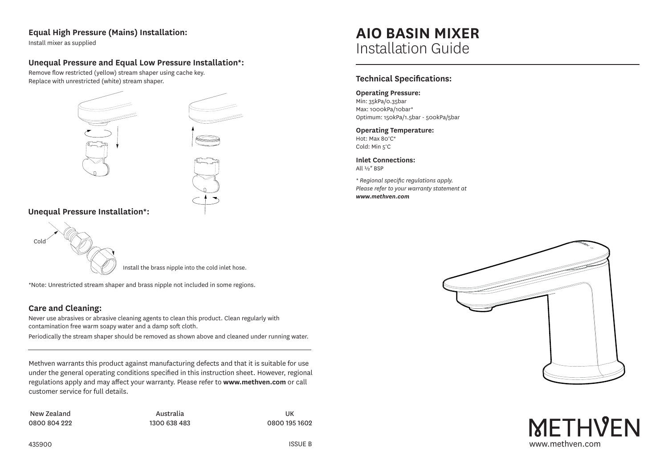#### **Equal High Pressure (Mains) Installation:**

Install mixer as supplied

#### **Unequal Pressure and Equal Low Pressure Installation\*:**

Remove flow restricted (yellow) stream shaper using cache key. Replace with unrestricted (white) stream shaper.



**Unequal Pressure Installation\*:** 



Install the brass nipple into the cold inlet hose.

\*Note: Unrestricted stream shaper and brass nipple not included in some regions.

#### **Care and Cleaning:**

Never use abrasives or abrasive cleaning agents to clean this product. Clean regularly with contamination free warm soapy water and a damp soft cloth.

Periodically the stream shaper should be removed as shown above and cleaned under running water.

Methven warrants this product against manufacturing defects and that it is suitable for use under the general operating conditions specified in this instruction sheet. However, regional regulations apply and may affect your warranty. Please refer to **www.methven.com** or call customer service for full details.

New Zealand 0800 804 222

Australia 1300 638 483

UK 0800 195 1602



# **AIO BASIN MIXER** Installation Guide

#### **Technical Specifications:**

**Operating Pressure:**

Min: 35kPa/0.35bar Max: 1000kPa/10bar\* Optimum: 150kPa/1.5bar - 500kPa/5bar

#### **Operating Temperature:** Hot: Max 80°C\*

Cold: Min 5°C

**Inlet Connections:** All ½" BSP

*\* Regional specific regulations apply. Please refer to your warranty statement at www.methven.com*